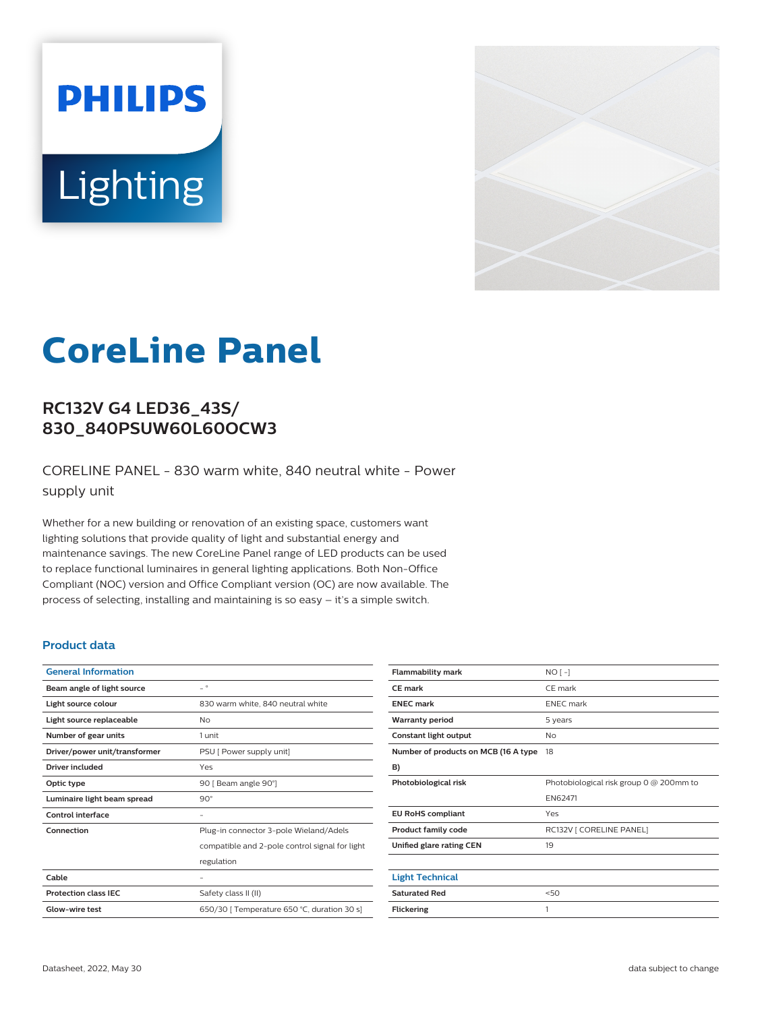# **PHILIPS** Lighting



# **CoreLine Panel**

# **RC132V G4 LED36\_43S/ 830\_840PSUW60L60OCW3**

CORELINE PANEL - 830 warm white, 840 neutral white - Power supply unit

Whether for a new building or renovation of an existing space, customers want lighting solutions that provide quality of light and substantial energy and maintenance savings. The new CoreLine Panel range of LED products can be used to replace functional luminaires in general lighting applications. Both Non-Office Compliant (NOC) version and Office Compliant version (OC) are now available. The process of selecting, installing and maintaining is so easy – it's a simple switch.

#### **Product data**

| <b>General Information</b>    |                                                |
|-------------------------------|------------------------------------------------|
| Beam angle of light source    | $\overline{\phantom{0}}$                       |
| Light source colour           | 830 warm white, 840 neutral white              |
| Light source replaceable      | <b>No</b>                                      |
| Number of gear units          | 1 unit                                         |
| Driver/power unit/transformer | PSU [ Power supply unit]                       |
| Driver included               | Yes                                            |
| Optic type                    | 90 [ Beam angle 90°]                           |
| Luminaire light beam spread   | $90^\circ$                                     |
| <b>Control interface</b>      |                                                |
| Connection                    | Plug-in connector 3-pole Wieland/Adels         |
|                               | compatible and 2-pole control signal for light |
|                               | regulation                                     |
| Cable                         |                                                |
| <b>Protection class IEC</b>   | Safety class II (II)                           |
| Glow-wire test                | 650/30   Temperature 650 °C, duration 30 s]    |

| <b>Flammability mark</b>             | $NO[-]$                                 |
|--------------------------------------|-----------------------------------------|
| CE mark                              | CE mark                                 |
| <b>ENEC mark</b>                     | <b>ENEC</b> mark                        |
| <b>Warranty period</b>               | 5 years                                 |
| Constant light output                | No                                      |
| Number of products on MCB (16 A type | 18                                      |
| B)                                   |                                         |
| Photobiological risk                 | Photobiological risk group 0 @ 200mm to |
|                                      | EN62471                                 |
| <b>EU RoHS compliant</b>             | Yes                                     |
| <b>Product family code</b>           | RC132V   CORELINE PANEL]                |
| Unified glare rating CEN             | 19                                      |
|                                      |                                         |
| <b>Light Technical</b>               |                                         |
| <b>Saturated Red</b>                 | 50                                      |
| <b>Flickering</b>                    | 1                                       |
|                                      |                                         |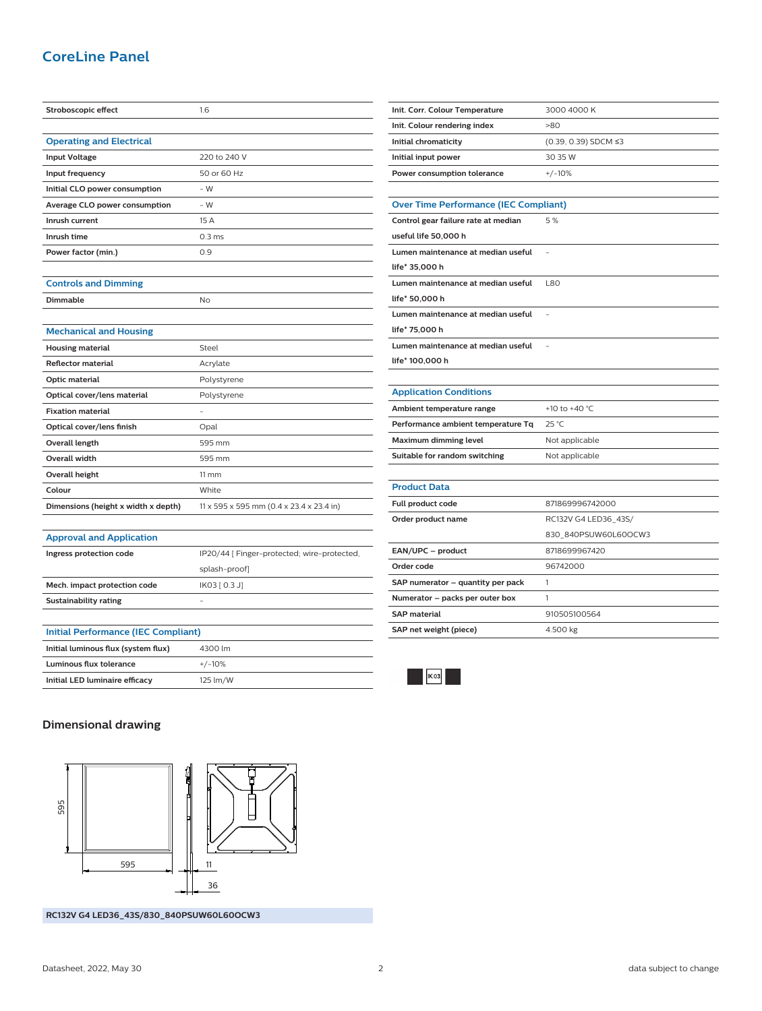# **CoreLine Panel**

| Stroboscopic effect                        | 1.6                                         |  |
|--------------------------------------------|---------------------------------------------|--|
|                                            |                                             |  |
| <b>Operating and Electrical</b>            |                                             |  |
| <b>Input Voltage</b>                       | 220 to 240 V                                |  |
| Input frequency                            | 50 or 60 Hz                                 |  |
| Initial CLO power consumption              | $-W$                                        |  |
| Average CLO power consumption              | $-W$                                        |  |
| Inrush current                             | 15 A                                        |  |
| Inrush time                                | 0.3 <sub>ms</sub>                           |  |
| Power factor (min.)                        | 0.9                                         |  |
|                                            |                                             |  |
| <b>Controls and Dimming</b>                |                                             |  |
| <b>Dimmable</b>                            | No                                          |  |
|                                            |                                             |  |
| <b>Mechanical and Housing</b>              |                                             |  |
| <b>Housing material</b>                    | Steel                                       |  |
| <b>Reflector material</b>                  | Acrylate                                    |  |
| Optic material                             | Polystyrene                                 |  |
| Optical cover/lens material                | Polystyrene                                 |  |
| <b>Fixation material</b>                   |                                             |  |
| Optical cover/lens finish                  | Opal                                        |  |
| <b>Overall length</b>                      | 595 mm                                      |  |
| <b>Overall width</b>                       | 595 mm                                      |  |
| <b>Overall height</b>                      | $11 \, \mathrm{mm}$                         |  |
| Colour                                     | White                                       |  |
| Dimensions (height x width x depth)        | 11 x 595 x 595 mm (0.4 x 23.4 x 23.4 in)    |  |
|                                            |                                             |  |
| <b>Approval and Application</b>            |                                             |  |
| Ingress protection code                    | IP20/44 [ Finger-protected; wire-protected, |  |
|                                            | splash-proof]                               |  |
| Mech. impact protection code               | IK03 [ 0.3 J]                               |  |
| <b>Sustainability rating</b>               |                                             |  |
|                                            |                                             |  |
| <b>Initial Performance (IEC Compliant)</b> |                                             |  |
| Initial luminous flux (system flux)        | 4300 lm                                     |  |
| <b>Luminous flux tolerance</b>             | $+/-10%$                                    |  |

| Init. Corr. Colour Temperature               | 3000 4000 K          |  |
|----------------------------------------------|----------------------|--|
| Init. Colour rendering index                 | >80                  |  |
| Initial chromaticity                         | (0.39, 0.39) SDCM ≤3 |  |
| Initial input power                          | 30 35 W              |  |
| Power consumption tolerance                  | $+/-10%$             |  |
|                                              |                      |  |
| <b>Over Time Performance (IEC Compliant)</b> |                      |  |
| Control gear failure rate at median          | 5%                   |  |
| useful life 50,000 h                         |                      |  |
| Lumen maintenance at median useful           |                      |  |
| life* 35.000 h                               |                      |  |
| Lumen maintenance at median useful           | <b>L80</b>           |  |
| life* 50,000 h                               |                      |  |
| Lumen maintenance at median useful           |                      |  |
| life* 75,000 h                               |                      |  |
| Lumen maintenance at median useful           | L,                   |  |
| life* 100,000 h                              |                      |  |
|                                              |                      |  |
| <b>Application Conditions</b>                |                      |  |
| Ambient temperature range                    | +10 to +40 °C        |  |
| Performance ambient temperature Tq           | 25 °C                |  |
| Maximum dimming level                        | Not applicable       |  |
| Suitable for random switching                | Not applicable       |  |
|                                              |                      |  |
| <b>Product Data</b>                          |                      |  |
| Full product code                            | 871869996742000      |  |
| Order product name                           | RC132V G4 LED36_43S/ |  |
|                                              | 830 840PSUW60L60OCW3 |  |
| EAN/UPC - product                            | 8718699967420        |  |
| Order code                                   | 96742000             |  |
| SAP numerator - quantity per pack            | 1                    |  |
| Numerator - packs per outer box              | 1                    |  |
|                                              |                      |  |
| <b>SAP material</b>                          | 910505100564         |  |



**Dimensional drawing**

**Initial LED luminaire efficacy** 125 lm/W



**RC132V G4 LED36\_43S/830\_840PSUW60L60OCW3**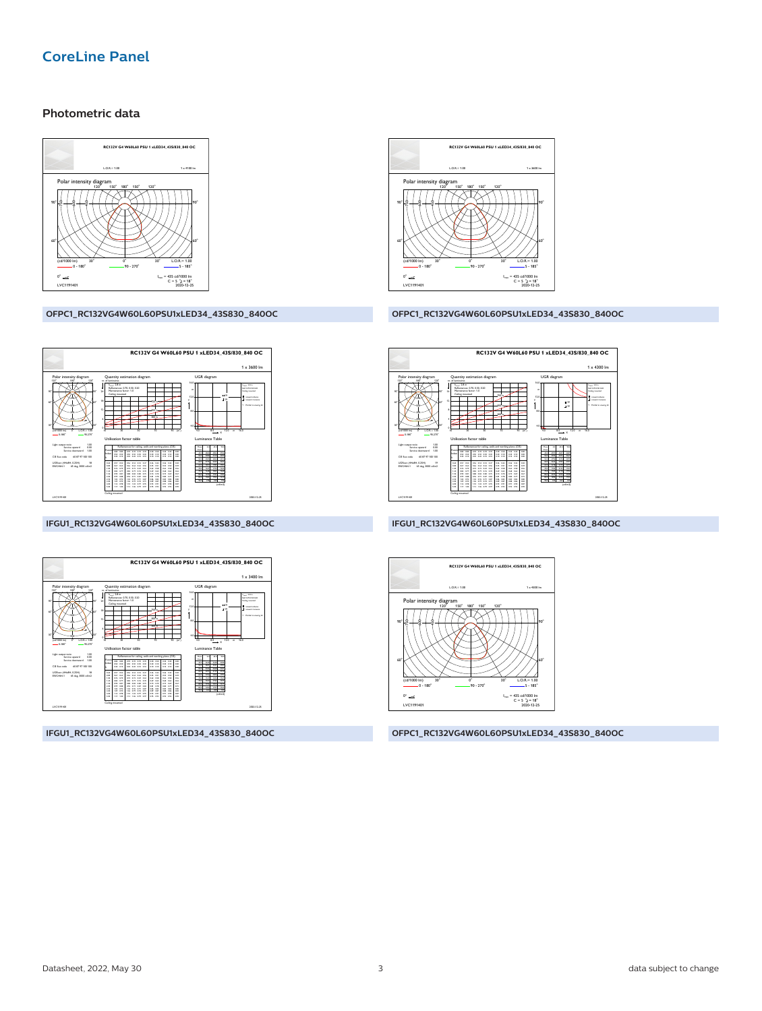## **CoreLine Panel**

#### Photometric data



#### OFPC1\_RC132VG4W60L60PSU1xLED34\_43S830\_840OC



#### IFGU1\_RC132VG4W60L60PSU1xLED34\_43S830\_840OC



IFGU1\_RC132VG4W60L60PSU1xLED34\_43S830\_840OC



#### OFPC1\_RC132VG4W60L60PSU1xLED34\_43S830\_840OC



IFGU1\_RC132VG4W60L60PSU1xLED34\_43S830\_840OC



OFPC1\_RC132VG4W60L60PSU1xLED34\_43S830\_840OC